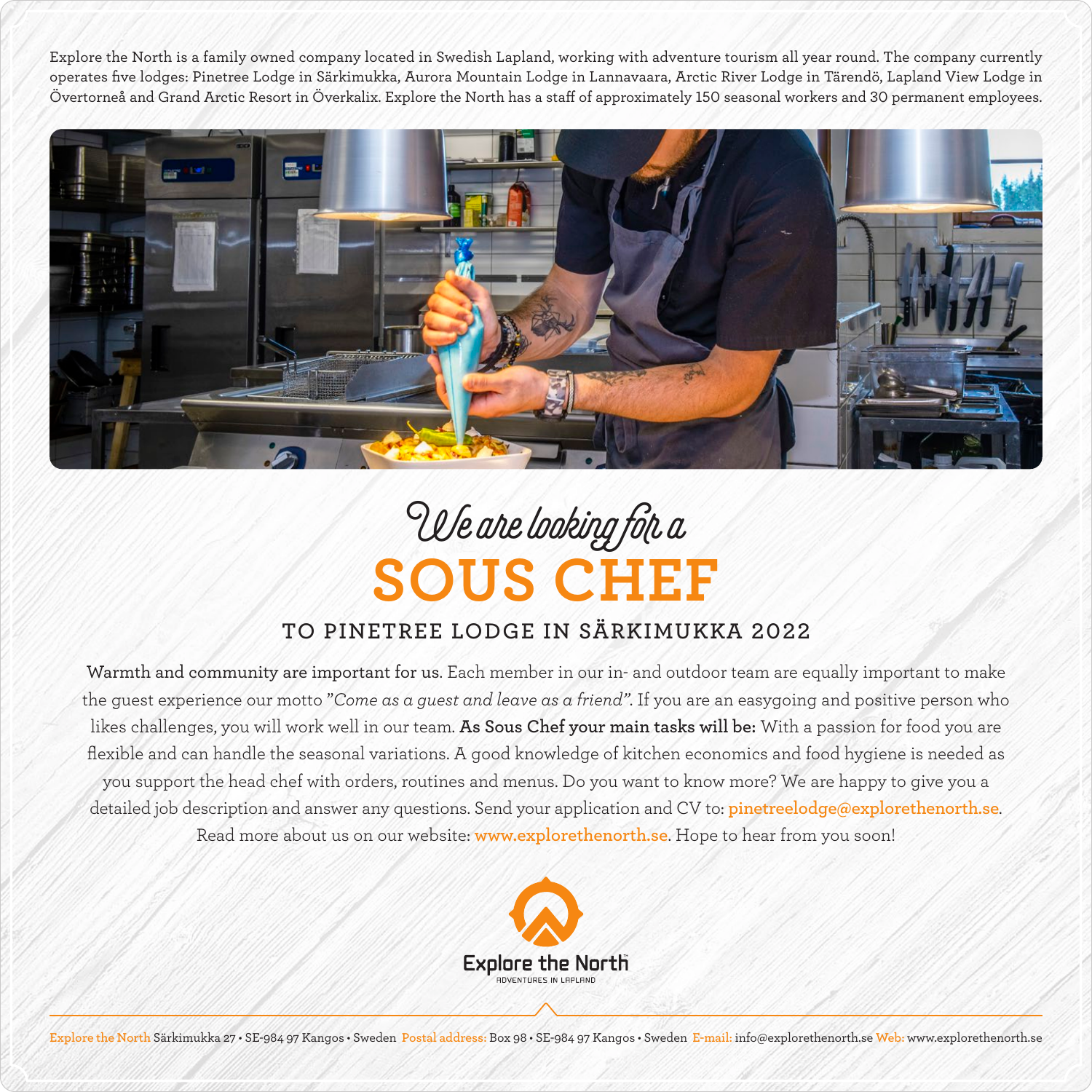Explore the North is a family owned company located in Swedish Lapland, working with adventure tourism all year round. The company currently operates five lodges: Pinetree Lodge in Särkimukka, Aurora Mountain Lodge in Lannavaara, Arctic River Lodge in Tärendö, Lapland View Lodge in Övertorneå and Grand Arctic Resort in Överkalix. Explore the North has a staff of approximately 150 seasonal workers and 30 permanent employees.



## **SOUS CHEF** We are looking for a

## **TO PINETREE LODGE IN SÄRKIMUKKA 2022**

Warmth and community are important for us. Each member in our in- and outdoor team are equally important to make the guest experience our motto "*Come as a guest and leave as a friend"*. If you are an easygoing and positive person who likes challenges, you will work well in our team. **As Sous Chef your main tasks will be:** With a passion for food you are flexible and can handle the seasonal variations. A good knowledge of kitchen economics and food hygiene is needed as you support the head chef with orders, routines and menus. Do you want to know more? We are happy to give you a detailed job description and answer any questions. Send your application and CV to: **pinetreelodge@explorethenorth.se**. Read more about us on our website: **www.explorethenorth.se**. Hope to hear from you soon!